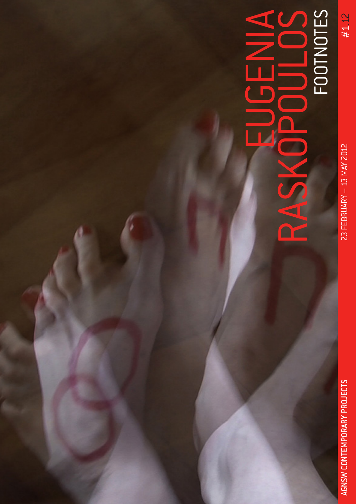$#1.12$ 

## FOOTNOTES EUGENIA FOOTNOTES RASKOPOULOS RA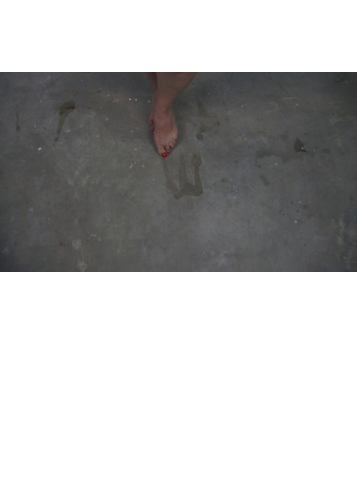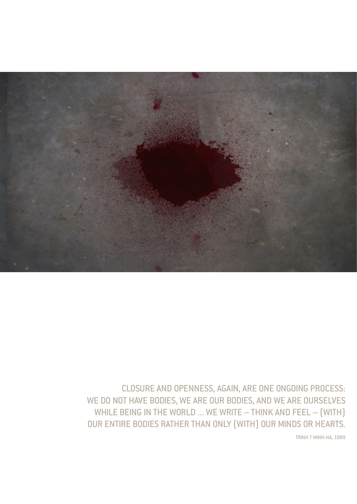

CLOSURE AND OPENNESS, AGAIN, ARE ONE ONGOING PROCESS: WE DO NOT HAVE BODIES, WE ARE OUR BODIES, AND WE ARE OURSELVES WHILE BEING IN THE WORLD ... WE WRITE - THINK AND FEEL - (WITH) OUR ENTIRE BODIES RATHER THAN ONLY (WITH) OUR MINDS OR HEARTS.

TRINH T MINH-HA, 1989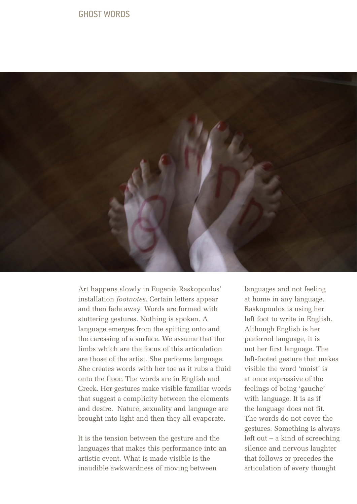

Art happens slowly in Eugenia Raskopoulos' installation *footnotes*. Certain letters appear and then fade away. Words are formed with stuttering gestures. Nothing is spoken. A language emerges from the spitting onto and the caressing of a surface. We assume that the limbs which are the focus of this articulation are those of the artist. She performs language. She creates words with her toe as it rubs a fluid onto the floor. The words are in English and Greek. Her gestures make visible familiar words that suggest a complicity between the elements and desire. Nature, sexuality and language are brought into light and then they all evaporate.

It is the tension between the gesture and the languages that makes this performance into an artistic event. What is made visible is the inaudible awkwardness of moving between

languages and not feeling at home in any language. Raskopoulos is using her left foot to write in English. Although English is her preferred language, it is not her first language. The left-footed gesture that makes visible the word 'moist' is at once expressive of the feelings of being 'gauche' with language. It is as if the language does not fit. The words do not cover the gestures. Something is always left out – a kind of screeching silence and nervous laughter that follows or precedes the articulation of every thought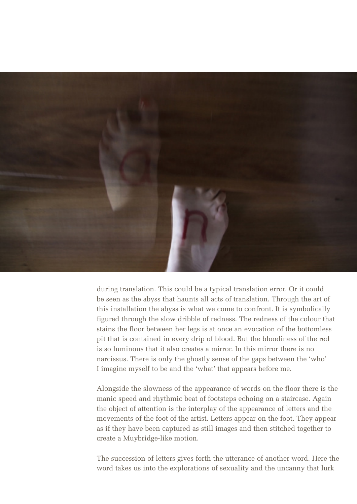

during translation. This could be a typical translation error. Or it could be seen as the abyss that haunts all acts of translation. Through the art of this installation the abyss is what we come to confront. It is symbolically figured through the slow dribble of redness. The redness of the colour that stains the floor between her legs is at once an evocation of the bottomless pit that is contained in every drip of blood. But the bloodiness of the red is so luminous that it also creates a mirror. In this mirror there is no narcissus. There is only the ghostly sense of the gaps between the 'who' I imagine myself to be and the 'what' that appears before me.

Alongside the slowness of the appearance of words on the floor there is the manic speed and rhythmic beat of footsteps echoing on a staircase. Again the object of attention is the interplay of the appearance of letters and the movements of the foot of the artist. Letters appear on the foot. They appear as if they have been captured as still images and then stitched together to create a Muybridge-like motion.

The succession of letters gives forth the utterance of another word. Here the word takes us into the explorations of sexuality and the uncanny that lurk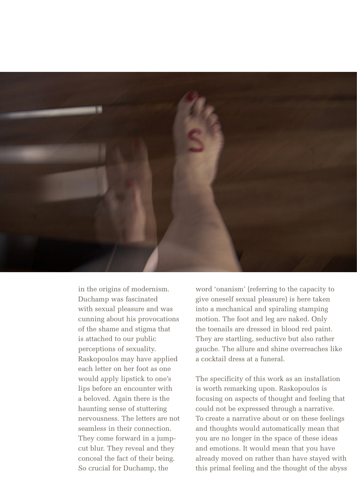

in the origins of modernism. Duchamp was fascinated with sexual pleasure and was cunning about his provocations of the shame and stigma that is attached to our public perceptions of sexuality. Raskopoulos may have applied each letter on her foot as one would apply lipstick to one's lips before an encounter with a beloved. Again there is the haunting sense of stuttering nervousness. The letters are not seamless in their connection. They come forward in a jumpcut blur. They reveal and they conceal the fact of their being. So crucial for Duchamp, the

word 'onanism' (referring to the capacity to give oneself sexual pleasure) is here taken into a mechanical and spiraling stamping motion. The foot and leg are naked. Only the toenails are dressed in blood red paint. They are startling, seductive but also rather gauche. The allure and shine overreaches like a cocktail dress at a funeral.

The specificity of this work as an installation is worth remarking upon. Raskopoulos is focusing on aspects of thought and feeling that could not be expressed through a narrative. To create a narrative about or on these feelings and thoughts would automatically mean that you are no longer in the space of these ideas and emotions. It would mean that you have already moved on rather than have stayed with this primal feeling and the thought of the abyss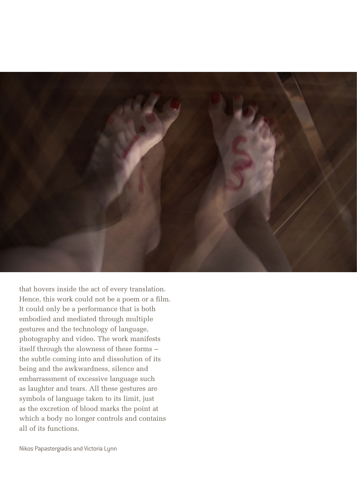

that hovers inside the act of every translation. Hence, this work could not be a poem or a film. It could only be a performance that is both embodied and mediated through multiple gestures and the technology of language, photography and video. The work manifests itself through the slowness of these forms – the subtle coming into and dissolution of its being and the awkwardness, silence and embarrassment of excessive language such as laughter and tears. All these gestures are symbols of language taken to its limit, just as the excretion of blood marks the point at which a body no longer controls and contains all of its functions.

Nikos Papastergiadis and Victoria Lynn